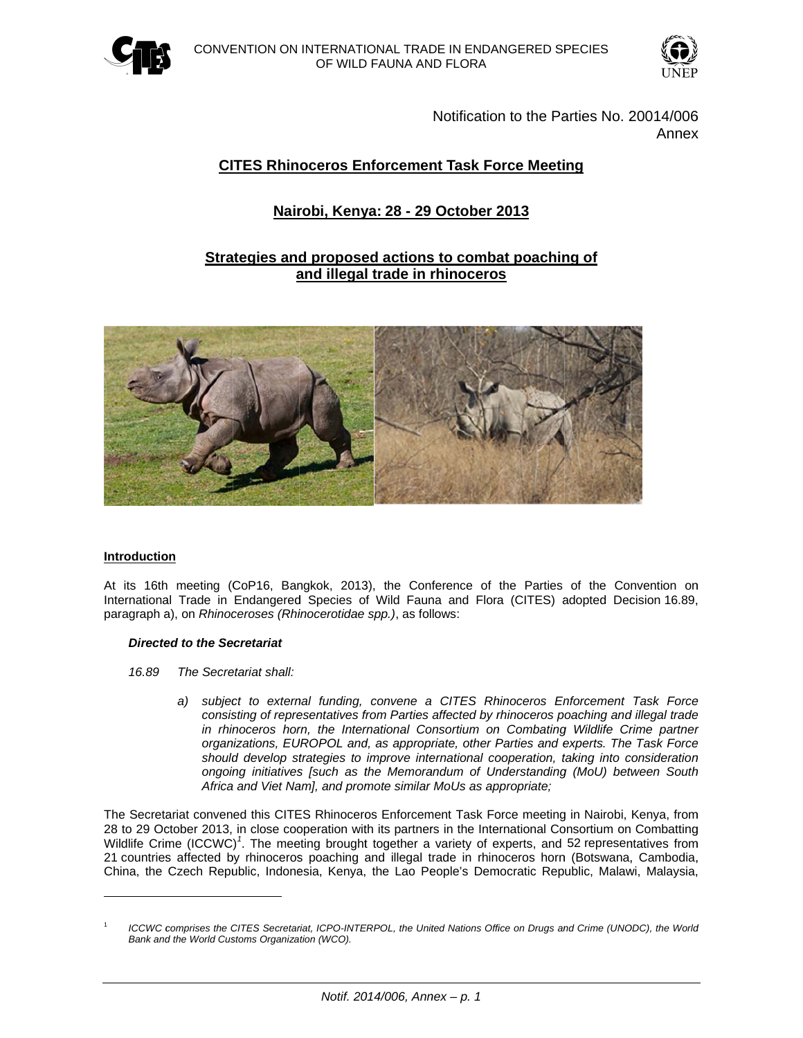



Notification to the Parties No. 20014/006 Annex

# **CITES Rhinoceros Enforcement Task Force Meeting**

# Nairobi, Kenya: 28 - 29 October 2013

## Strategies and proposed actions to combat poaching of and illegal trade in rhinoceros



## Introduction

At its 16th meeting (CoP16, Bangkok, 2013), the Conference of the Parties of the Convention on International Trade in Endangered Species of Wild Fauna and Flora (CITES) adopted Decision 16.89, paragraph a), on Rhinoceroses (Rhinocerotidae spp.), as follows:

#### **Directed to the Secretariat**

- 16.89 The Secretariat shall:
	- a) subject to external funding, convene a CITES Rhinoceros Enforcement Task Force consisting of representatives from Parties affected by rhinoceros poaching and illegal trade in rhinoceros horn, the International Consortium on Combating Wildlife Crime partner organizations, EUROPOL and, as appropriate, other Parties and experts. The Task Force should develop strategies to improve international cooperation, taking into consideration ongoing initiatives [such as the Memorandum of Understanding (MoU) between South Africa and Viet Nam], and promote similar MoUs as appropriate;

The Secretariat convened this CITES Rhinoceros Enforcement Task Force meeting in Nairobi, Kenya, from 28 to 29 October 2013, in close cooperation with its partners in the International Consortium on Combatting Wildlife Crime (ICCWC)<sup>1</sup>. The meeting brought together a variety of experts, and 52 representatives from 21 countries affected by rhinoceros poaching and illegal trade in rhinoceros horn (Botswana, Cambodia, China, the Czech Republic, Indonesia, Kenya, the Lao People's Democratic Republic, Malawi, Malaysia,

ICCWC comprises the CITES Secretariat, ICPO-INTERPOL, the United Nations Office on Drugs and Crime (UNODC), the World Bank and the World Customs Organization (WCO).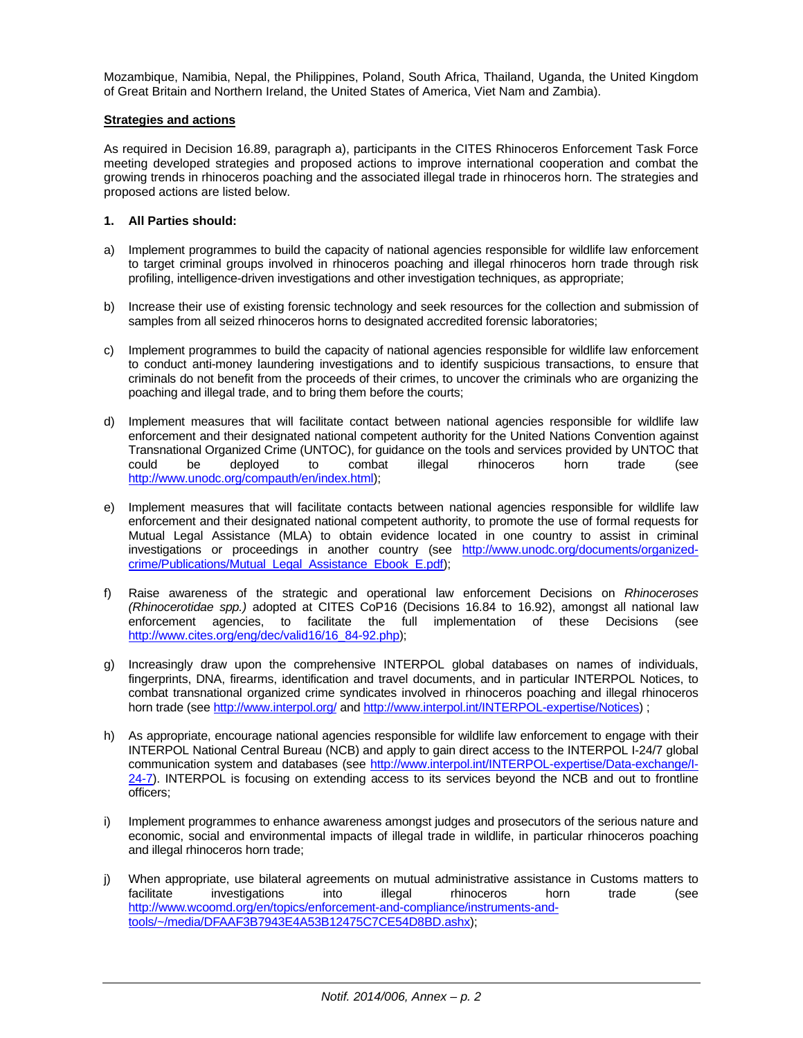Mozambique, Namibia, Nepal, the Philippines, Poland, South Africa, Thailand, Uganda, the United Kingdom of Great Britain and Northern Ireland, the United States of America, Viet Nam and Zambia).

### **Strategies and actions**

As required in Decision 16.89, paragraph a), participants in the CITES Rhinoceros Enforcement Task Force meeting developed strategies and proposed actions to improve international cooperation and combat the growing trends in rhinoceros poaching and the associated illegal trade in rhinoceros horn. The strategies and proposed actions are listed below.

## **1. All Parties should:**

- a) Implement programmes to build the capacity of national agencies responsible for wildlife law enforcement to target criminal groups involved in rhinoceros poaching and illegal rhinoceros horn trade through risk profiling, intelligence-driven investigations and other investigation techniques, as appropriate;
- b) Increase their use of existing forensic technology and seek resources for the collection and submission of samples from all seized rhinoceros horns to designated accredited forensic laboratories;
- c) Implement programmes to build the capacity of national agencies responsible for wildlife law enforcement to conduct anti-money laundering investigations and to identify suspicious transactions, to ensure that criminals do not benefit from the proceeds of their crimes, to uncover the criminals who are organizing the poaching and illegal trade, and to bring them before the courts;
- d) Implement measures that will facilitate contact between national agencies responsible for wildlife law enforcement and their designated national competent authority for the United Nations Convention against Transnational Organized Crime (UNTOC), for guidance on the tools and services provided by UNTOC that could be deployed to combat illegal rhinoceros horn trade (see http://www.unodc.org/compauth/en/index.html);
- e) Implement measures that will facilitate contacts between national agencies responsible for wildlife law enforcement and their designated national competent authority, to promote the use of formal requests for Mutual Legal Assistance (MLA) to obtain evidence located in one country to assist in criminal investigations or proceedings in another country (see http://www.unodc.org/documents/organizedcrime/Publications/Mutual\_Legal\_Assistance\_Ebook\_E.pdf);
- f) Raise awareness of the strategic and operational law enforcement Decisions on *Rhinoceroses (Rhinocerotidae spp.)* adopted at CITES CoP16 (Decisions 16.84 to 16.92), amongst all national law enforcement agencies, to facilitate the full implementation of these Decisions (see http://www.cites.org/eng/dec/valid16/16\_84-92.php);
- g) Increasingly draw upon the comprehensive INTERPOL global databases on names of individuals, fingerprints, DNA, firearms, identification and travel documents, and in particular INTERPOL Notices, to combat transnational organized crime syndicates involved in rhinoceros poaching and illegal rhinoceros horn trade (see http://www.interpol.org/ and http://www.interpol.int/INTERPOL-expertise/Notices) ;
- h) As appropriate, encourage national agencies responsible for wildlife law enforcement to engage with their INTERPOL National Central Bureau (NCB) and apply to gain direct access to the INTERPOL I-24/7 global communication system and databases (see http://www.interpol.int/INTERPOL-expertise/Data-exchange/I-24-7). INTERPOL is focusing on extending access to its services beyond the NCB and out to frontline officers;
- i) Implement programmes to enhance awareness amongst judges and prosecutors of the serious nature and economic, social and environmental impacts of illegal trade in wildlife, in particular rhinoceros poaching and illegal rhinoceros horn trade;
- j) When appropriate, use bilateral agreements on mutual administrative assistance in Customs matters to facilitate investigations into illegal rhinoceros horn trade (see http://www.wcoomd.org/en/topics/enforcement-and-compliance/instruments-andtools/~/media/DFAAF3B7943E4A53B12475C7CE54D8BD.ashx);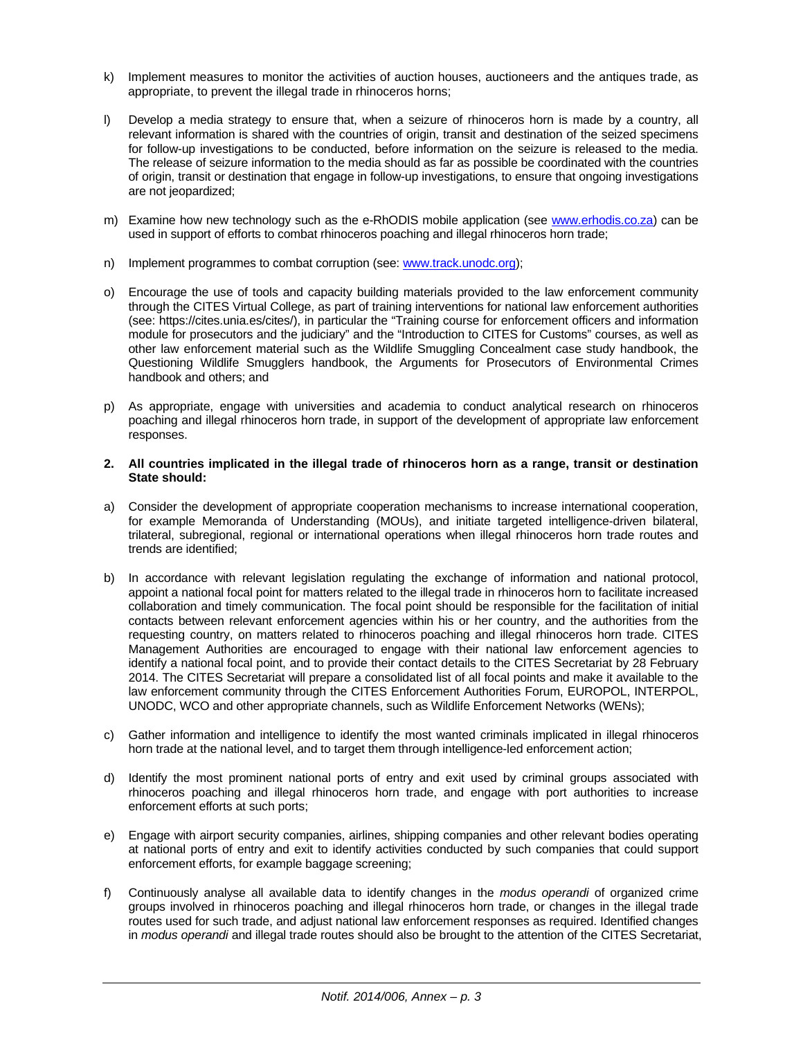- k) Implement measures to monitor the activities of auction houses, auctioneers and the antiques trade, as appropriate, to prevent the illegal trade in rhinoceros horns;
- l) Develop a media strategy to ensure that, when a seizure of rhinoceros horn is made by a country, all relevant information is shared with the countries of origin, transit and destination of the seized specimens for follow-up investigations to be conducted, before information on the seizure is released to the media. The release of seizure information to the media should as far as possible be coordinated with the countries of origin, transit or destination that engage in follow-up investigations, to ensure that ongoing investigations are not jeopardized;
- m) Examine how new technology such as the e-RhODIS mobile application (see www.erhodis.co.za) can be used in support of efforts to combat rhinoceros poaching and illegal rhinoceros horn trade;
- n) Implement programmes to combat corruption (see: www.track.unodc.org);
- o) Encourage the use of tools and capacity building materials provided to the law enforcement community through the CITES Virtual College, as part of training interventions for national law enforcement authorities (see: https://cites.unia.es/cites/), in particular the "Training course for enforcement officers and information module for prosecutors and the judiciary" and the "Introduction to CITES for Customs" courses, as well as other law enforcement material such as the Wildlife Smuggling Concealment case study handbook, the Questioning Wildlife Smugglers handbook, the Arguments for Prosecutors of Environmental Crimes handbook and others; and
- p) As appropriate, engage with universities and academia to conduct analytical research on rhinoceros poaching and illegal rhinoceros horn trade, in support of the development of appropriate law enforcement responses.
- **2. All countries implicated in the illegal trade of rhinoceros horn as a range, transit or destination State should:**
- a) Consider the development of appropriate cooperation mechanisms to increase international cooperation, for example Memoranda of Understanding (MOUs), and initiate targeted intelligence-driven bilateral, trilateral, subregional, regional or international operations when illegal rhinoceros horn trade routes and trends are identified;
- b) In accordance with relevant legislation regulating the exchange of information and national protocol, appoint a national focal point for matters related to the illegal trade in rhinoceros horn to facilitate increased collaboration and timely communication. The focal point should be responsible for the facilitation of initial contacts between relevant enforcement agencies within his or her country, and the authorities from the requesting country, on matters related to rhinoceros poaching and illegal rhinoceros horn trade. CITES Management Authorities are encouraged to engage with their national law enforcement agencies to identify a national focal point, and to provide their contact details to the CITES Secretariat by 28 February 2014. The CITES Secretariat will prepare a consolidated list of all focal points and make it available to the law enforcement community through the CITES Enforcement Authorities Forum, EUROPOL, INTERPOL, UNODC, WCO and other appropriate channels, such as Wildlife Enforcement Networks (WENs);
- c) Gather information and intelligence to identify the most wanted criminals implicated in illegal rhinoceros horn trade at the national level, and to target them through intelligence-led enforcement action;
- d) Identify the most prominent national ports of entry and exit used by criminal groups associated with rhinoceros poaching and illegal rhinoceros horn trade, and engage with port authorities to increase enforcement efforts at such ports;
- e) Engage with airport security companies, airlines, shipping companies and other relevant bodies operating at national ports of entry and exit to identify activities conducted by such companies that could support enforcement efforts, for example baggage screening;
- f) Continuously analyse all available data to identify changes in the *modus operandi* of organized crime groups involved in rhinoceros poaching and illegal rhinoceros horn trade, or changes in the illegal trade routes used for such trade, and adjust national law enforcement responses as required. Identified changes in *modus operandi* and illegal trade routes should also be brought to the attention of the CITES Secretariat,